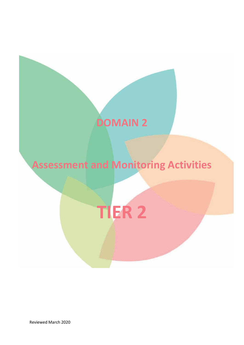# **DOMAIN 2**

# **Assessment and Monitoring Activities**

**TIER 2**

Reviewed March 2020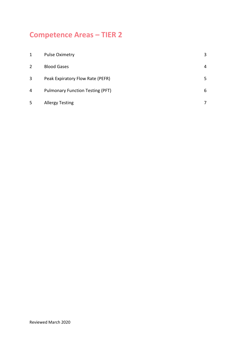## **Competence Areas – TIER 2**

| 1 | <b>Pulse Oximetry</b>                   | 3  |
|---|-----------------------------------------|----|
| 2 | <b>Blood Gases</b>                      | 4  |
| 3 | Peak Expiratory Flow Rate (PEFR)        | 5. |
| 4 | <b>Pulmonary Function Testing (PFT)</b> | 6  |
| 5 | <b>Allergy Testing</b>                  |    |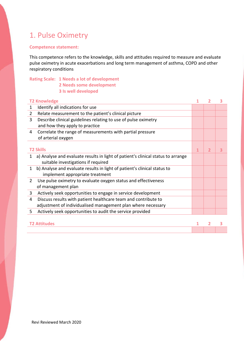### 1. Pulse Oximetry

#### **Competence statement:**

This competence refers to the knowledge, skills and attitudes required to measure and evaluate pulse oximetry in acute exacerbations and long term management of asthma, COPD and other respiratory conditions

### **Rating Scale: 1 Needs a lot of development**

**2 Needs some development**

**3 Is well developed**

|                | <b>T2 Knowledge</b>                                                              |   |                | 3 |
|----------------|----------------------------------------------------------------------------------|---|----------------|---|
| 1              | Identify all indications for use                                                 |   |                |   |
| $\overline{2}$ | Relate measurement to the patient's clinical picture                             |   |                |   |
| 3              | Describe clinical guidelines relating to use of pulse oximetry                   |   |                |   |
|                | and how they apply to practice                                                   |   |                |   |
| 4              | Correlate the range of measurements with partial pressure                        |   |                |   |
|                | of arterial oxygen                                                               |   |                |   |
|                |                                                                                  |   |                |   |
|                | <b>T2 Skills</b>                                                                 | 1 | $\overline{2}$ | 3 |
| 1              | a) Analyse and evaluate results in light of patient's clinical status to arrange |   |                |   |
|                | suitable investigations if required                                              |   |                |   |
| 1              | b) Analyse and evaluate results in light of patient's clinical status to         |   |                |   |
|                | implement appropriate treatment                                                  |   |                |   |
| $\overline{2}$ | Use pulse oximetry to evaluate oxygen status and effectiveness                   |   |                |   |
|                | of management plan                                                               |   |                |   |
| 3              | Actively seek opportunities to engage in service development                     |   |                |   |
| 4              | Discuss results with patient healthcare team and contribute to                   |   |                |   |
|                | adjustment of individualised management plan where necessary                     |   |                |   |
| 5.             | Actively seek opportunities to audit the service provided                        |   |                |   |
|                |                                                                                  |   |                |   |
|                | <b>T2 Attitudes</b>                                                              |   |                | 3 |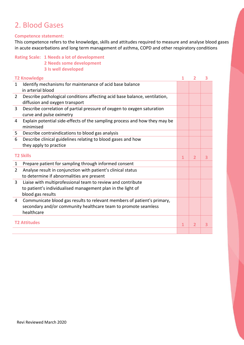### 2. Blood Gases

#### **Competence statement:**

This competence refers to the knowledge, skills and attitudes required to measure and analyse blood gases in acute exacerbations and long term management of asthma, COPD and other respiratory conditions

### **Rating Scale: 1 Needs a lot of development 2 Needs some development 3 Is well developed**

| <b>T2 Knowledge</b> |                                                                                         | 1 | 2              | 3 |
|---------------------|-----------------------------------------------------------------------------------------|---|----------------|---|
| $\mathbf{1}$        | Identify mechanisms for maintenance of acid base balance                                |   |                |   |
|                     | in arterial blood                                                                       |   |                |   |
| $\overline{2}$      | Describe pathological conditions affecting acid base balance, ventilation,              |   |                |   |
|                     | diffusion and oxygen transport                                                          |   |                |   |
| 3                   | Describe correlation of partial pressure of oxygen to oxygen saturation                 |   |                |   |
|                     | curve and pulse oximetry                                                                |   |                |   |
| 4                   | Explain potential side-effects of the sampling process and how they may be<br>minimised |   |                |   |
| 5.                  | Describe contraindications to blood gas analysis                                        |   |                |   |
| 6                   | Describe clinical guidelines relating to blood gases and how                            |   |                |   |
|                     | they apply to practice                                                                  |   |                |   |
|                     |                                                                                         |   |                |   |
| <b>T2 Skills</b>    |                                                                                         | 1 | $\overline{2}$ | 3 |
| 1                   | Prepare patient for sampling through informed consent                                   |   |                |   |
| $\overline{2}$      | Analyse result in conjunction with patient's clinical status                            |   |                |   |
|                     | to determine if abnormalities are present                                               |   |                |   |
| 3                   | Liaise with multiprofessional team to review and contribute                             |   |                |   |
|                     | to patient's individualised management plan in the light of                             |   |                |   |
|                     | blood gas results                                                                       |   |                |   |
| 4                   | Communicate blood gas results to relevant members of patient's primary,                 |   |                |   |
|                     | secondary and/or community healthcare team to promote seamless                          |   |                |   |
|                     | healthcare                                                                              |   |                |   |
|                     |                                                                                         |   |                |   |
| <b>T2 Attitudes</b> |                                                                                         | 1 | $\overline{2}$ | 3 |
|                     |                                                                                         |   |                |   |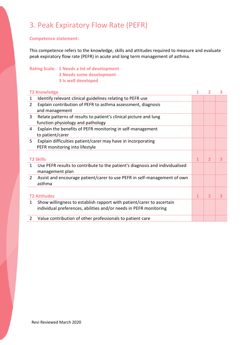### 3. Peak Expiratory Flow Rate (PEFR)

#### **Competence statement:**

This competence refers to the knowledge, skills and attitudes required to measure and evaluate peak expiratory flow rate (PEFR) in acute and long term management of asthma.

### **Rating Scale: 1 Needs a lot of development**

- **2 Needs some development**
- **3 Is well developed**

| Identify relevant clinical guidelines relating to PEFR use<br>$\mathbf{1}$<br>Explain contribution of PEFR to asthma assessment, diagnosis<br>$\overline{2}$<br>and management<br>3<br>Relate patterns of results to patient's clinical picture and lung<br>function physiology and pathology<br>Explain the benefits of PEFR monitoring in self-management<br>4<br>to patient/carer<br>Explain difficulties patient/carer may have in incorporating<br>5<br>PEFR monitoring into lifestyle<br><b>T2 Skills</b><br>2<br>3<br>1<br>Use PEFR results to contribute to the patient's diagnosis and individualised<br>1<br>management plan<br>Assist and encourage patient/carer to use PEFR in self-management of own<br>$\overline{2}$<br>asthma<br>$\overline{2}$<br><b>T2 Attitudes</b><br>1<br>3<br>Show willingness to establish rapport with patient/carer to ascertain<br>1<br>individual preferences, abilities and/or needs in PEFR monitoring<br>Value contribution of other professionals to patient care<br>$\mathbf{2}^{\prime}$ | <b>T2 Knowledge</b> |  | 3 |
|--------------------------------------------------------------------------------------------------------------------------------------------------------------------------------------------------------------------------------------------------------------------------------------------------------------------------------------------------------------------------------------------------------------------------------------------------------------------------------------------------------------------------------------------------------------------------------------------------------------------------------------------------------------------------------------------------------------------------------------------------------------------------------------------------------------------------------------------------------------------------------------------------------------------------------------------------------------------------------------------------------------------------------------------|---------------------|--|---|
|                                                                                                                                                                                                                                                                                                                                                                                                                                                                                                                                                                                                                                                                                                                                                                                                                                                                                                                                                                                                                                            |                     |  |   |
|                                                                                                                                                                                                                                                                                                                                                                                                                                                                                                                                                                                                                                                                                                                                                                                                                                                                                                                                                                                                                                            |                     |  |   |
|                                                                                                                                                                                                                                                                                                                                                                                                                                                                                                                                                                                                                                                                                                                                                                                                                                                                                                                                                                                                                                            |                     |  |   |
|                                                                                                                                                                                                                                                                                                                                                                                                                                                                                                                                                                                                                                                                                                                                                                                                                                                                                                                                                                                                                                            |                     |  |   |
|                                                                                                                                                                                                                                                                                                                                                                                                                                                                                                                                                                                                                                                                                                                                                                                                                                                                                                                                                                                                                                            |                     |  |   |
|                                                                                                                                                                                                                                                                                                                                                                                                                                                                                                                                                                                                                                                                                                                                                                                                                                                                                                                                                                                                                                            |                     |  |   |
|                                                                                                                                                                                                                                                                                                                                                                                                                                                                                                                                                                                                                                                                                                                                                                                                                                                                                                                                                                                                                                            |                     |  |   |
|                                                                                                                                                                                                                                                                                                                                                                                                                                                                                                                                                                                                                                                                                                                                                                                                                                                                                                                                                                                                                                            |                     |  |   |
|                                                                                                                                                                                                                                                                                                                                                                                                                                                                                                                                                                                                                                                                                                                                                                                                                                                                                                                                                                                                                                            |                     |  |   |
|                                                                                                                                                                                                                                                                                                                                                                                                                                                                                                                                                                                                                                                                                                                                                                                                                                                                                                                                                                                                                                            |                     |  |   |
|                                                                                                                                                                                                                                                                                                                                                                                                                                                                                                                                                                                                                                                                                                                                                                                                                                                                                                                                                                                                                                            |                     |  |   |
|                                                                                                                                                                                                                                                                                                                                                                                                                                                                                                                                                                                                                                                                                                                                                                                                                                                                                                                                                                                                                                            |                     |  |   |
|                                                                                                                                                                                                                                                                                                                                                                                                                                                                                                                                                                                                                                                                                                                                                                                                                                                                                                                                                                                                                                            |                     |  |   |
|                                                                                                                                                                                                                                                                                                                                                                                                                                                                                                                                                                                                                                                                                                                                                                                                                                                                                                                                                                                                                                            |                     |  |   |
|                                                                                                                                                                                                                                                                                                                                                                                                                                                                                                                                                                                                                                                                                                                                                                                                                                                                                                                                                                                                                                            |                     |  |   |
|                                                                                                                                                                                                                                                                                                                                                                                                                                                                                                                                                                                                                                                                                                                                                                                                                                                                                                                                                                                                                                            |                     |  |   |
|                                                                                                                                                                                                                                                                                                                                                                                                                                                                                                                                                                                                                                                                                                                                                                                                                                                                                                                                                                                                                                            |                     |  |   |
|                                                                                                                                                                                                                                                                                                                                                                                                                                                                                                                                                                                                                                                                                                                                                                                                                                                                                                                                                                                                                                            |                     |  |   |
|                                                                                                                                                                                                                                                                                                                                                                                                                                                                                                                                                                                                                                                                                                                                                                                                                                                                                                                                                                                                                                            |                     |  |   |
|                                                                                                                                                                                                                                                                                                                                                                                                                                                                                                                                                                                                                                                                                                                                                                                                                                                                                                                                                                                                                                            |                     |  |   |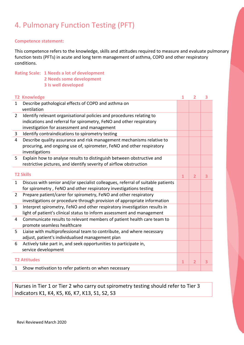### 4. Pulmonary Function Testing (PFT)

#### **Competence statement:**

This competence refers to the knowledge, skills and attitudes required to measure and evaluate pulmonary function tests (PFTs) in acute and long term management of asthma, COPD and other respiratory conditions.

| <b>Rating Scale: 1 Needs a lot of development</b> |  |  |  |  |
|---------------------------------------------------|--|--|--|--|
|---------------------------------------------------|--|--|--|--|

- **2 Needs some development**
- **3 Is well developed**

|                  | <b>T2 Knowledge</b>                                                                                                                         | $\mathbf{1}$ | $\overline{2}$          | 3 |
|------------------|---------------------------------------------------------------------------------------------------------------------------------------------|--------------|-------------------------|---|
| $\mathbf{1}$     | Describe pathological effects of COPD and asthma on<br>ventilation                                                                          |              |                         |   |
| $\overline{2}$   | Identify relevant organisational policies and procedures relating to                                                                        |              |                         |   |
|                  | indications and referral for spirometry, FeNO and other respiratory                                                                         |              |                         |   |
|                  | investigation for assessment and management                                                                                                 |              |                         |   |
| 3                | Identify contraindications to spirometry testing                                                                                            |              |                         |   |
| 4                | Describe quality assurance and risk management mechanisms relative to                                                                       |              |                         |   |
|                  | procuring, and ongoing use of, spirometer, FeNO and other respiratory<br>investigations                                                     |              |                         |   |
| 5                | Explain how to analyse results to distinguish between obstructive and<br>restrictive pictures, and identify severity of airflow obstruction |              |                         |   |
| <b>T2 Skills</b> |                                                                                                                                             | $\mathbf{1}$ | $\overline{2}$          | 3 |
| $\mathbf 1$      | Discuss with senior and/or specialist colleagues, referral of suitable patients                                                             |              |                         |   |
|                  | for spirometry, FeNO and other respiratory investigations testing                                                                           |              |                         |   |
| $\overline{2}$   | Prepare patient/carer for spirometry, FeNO and other respiratory                                                                            |              |                         |   |
|                  | investigations or procedure through provision of appropriate information                                                                    |              |                         |   |
| 3                | Interpret spirometry, FeNO and other respiratory investigation results in                                                                   |              |                         |   |
|                  | light of patient's clinical status to inform assessment and management                                                                      |              |                         |   |
| 4                | Communicate results to relevant members of patient health care team to<br>promote seamless healthcare                                       |              |                         |   |
| 5                | Liaise with multiprofessional team to contribute, and where necessary                                                                       |              |                         |   |
|                  | adjust, patient's individualised management plan                                                                                            |              |                         |   |
| 6                | Actively take part in, and seek opportunities to participate in,<br>service development                                                     |              |                         |   |
|                  | <b>T2 Attitudes</b>                                                                                                                         | $\mathbf{1}$ | $\overline{\mathbf{2}}$ | 3 |
| $\mathbf{1}$     | Show motivation to refer patients on when necessary                                                                                         |              |                         |   |

Nurses in Tier 1 or Tier 2 who carry out spirometry testing should refer to Tier 3 indicators K1, K4, K5, K6, K7, K13, S1, S2, S3